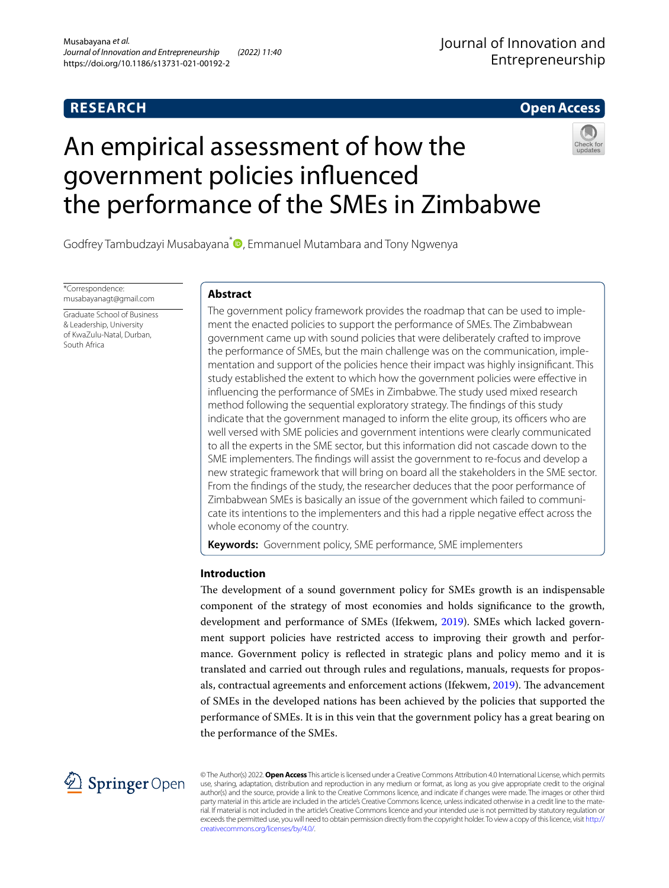# **RESEARCH**

# Journal of Innovation and Entrepreneurship

# **Open Access**

# An empirical assessment of how the government policies infuenced the performance of the SMEs in Zimbabwe



Godfrey Tambudzayi Musabayana<sup>\*</sup><sup>1</sup>[,](http://orcid.org/0000-0002-9827-5533) Emmanuel Mutambara and Tony Ngwenya

\*Correspondence: musabayanagt@gmail.com

Graduate School of Business & Leadership, University of KwaZulu-Natal, Durban, South Africa

# **Abstract**

The government policy framework provides the roadmap that can be used to implement the enacted policies to support the performance of SMEs. The Zimbabwean government came up with sound policies that were deliberately crafted to improve the performance of SMEs, but the main challenge was on the communication, implementation and support of the policies hence their impact was highly insignifcant. This study established the extent to which how the government policies were efective in infuencing the performance of SMEs in Zimbabwe. The study used mixed research method following the sequential exploratory strategy. The fndings of this study indicate that the government managed to inform the elite group, its officers who are well versed with SME policies and government intentions were clearly communicated to all the experts in the SME sector, but this information did not cascade down to the SME implementers. The fndings will assist the government to re-focus and develop a new strategic framework that will bring on board all the stakeholders in the SME sector. From the fndings of the study, the researcher deduces that the poor performance of Zimbabwean SMEs is basically an issue of the government which failed to communicate its intentions to the implementers and this had a ripple negative efect across the whole economy of the country.

**Keywords:** Government policy, SME performance, SME implementers

# **Introduction**

The development of a sound government policy for SMEs growth is an indispensable component of the strategy of most economies and holds signifcance to the growth, development and performance of SMEs (Ifekwem, [2019\)](#page-19-0). SMEs which lacked government support policies have restricted access to improving their growth and performance. Government policy is refected in strategic plans and policy memo and it is translated and carried out through rules and regulations, manuals, requests for propos-als, contractual agreements and enforcement actions (Ifekwem, [2019\)](#page-19-0). The advancement of SMEs in the developed nations has been achieved by the policies that supported the performance of SMEs. It is in this vein that the government policy has a great bearing on the performance of the SMEs.



© The Author(s) 2022. **Open Access** This article is licensed under a Creative Commons Attribution 4.0 International License, which permits use, sharing, adaptation, distribution and reproduction in any medium or format, as long as you give appropriate credit to the original author(s) and the source, provide a link to the Creative Commons licence, and indicate if changes were made. The images or other third party material in this article are included in the article's Creative Commons licence, unless indicated otherwise in a credit line to the material. If material is not included in the article's Creative Commons licence and your intended use is not permitted by statutory regulation or exceeds the permitted use, you will need to obtain permission directly from the copyright holder. To view a copy of this licence, visit [http://](http://creativecommons.org/licenses/by/4.0/) [creativecommons.org/licenses/by/4.0/.](http://creativecommons.org/licenses/by/4.0/)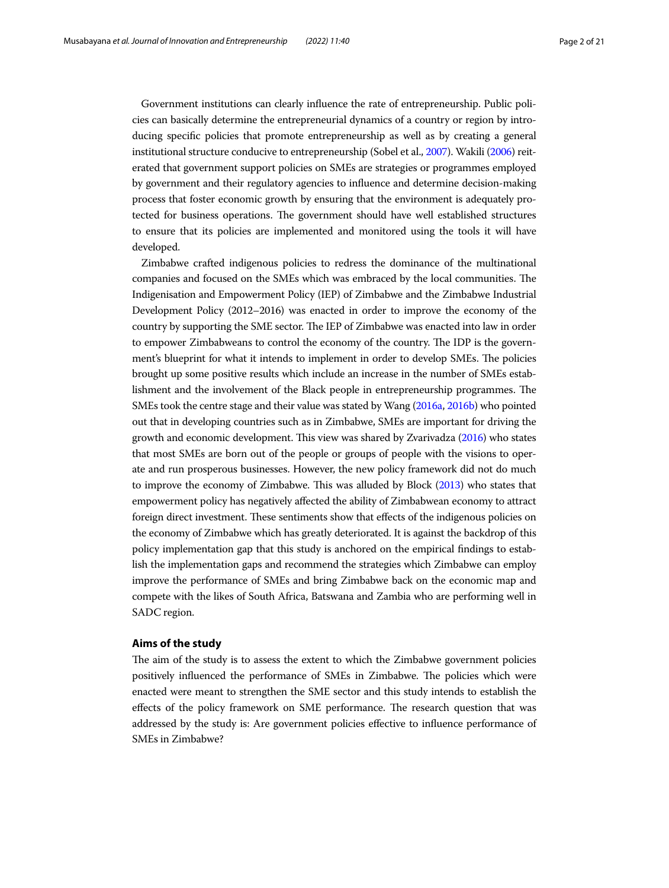Government institutions can clearly infuence the rate of entrepreneurship. Public policies can basically determine the entrepreneurial dynamics of a country or region by introducing specifc policies that promote entrepreneurship as well as by creating a general institutional structure conducive to entrepreneurship (Sobel et al., [2007](#page-20-0)). Wakili ([2006\)](#page-20-1) reiterated that government support policies on SMEs are strategies or programmes employed by government and their regulatory agencies to infuence and determine decision-making process that foster economic growth by ensuring that the environment is adequately protected for business operations. The government should have well established structures to ensure that its policies are implemented and monitored using the tools it will have developed.

Zimbabwe crafted indigenous policies to redress the dominance of the multinational companies and focused on the SMEs which was embraced by the local communities. The Indigenisation and Empowerment Policy (IEP) of Zimbabwe and the Zimbabwe Industrial Development Policy (2012–2016) was enacted in order to improve the economy of the country by supporting the SME sector. The IEP of Zimbabwe was enacted into law in order to empower Zimbabweans to control the economy of the country. The IDP is the government's blueprint for what it intends to implement in order to develop SMEs. The policies brought up some positive results which include an increase in the number of SMEs establishment and the involvement of the Black people in entrepreneurship programmes. The SMEs took the centre stage and their value was stated by Wang [\(2016a](#page-20-2), [2016b](#page-20-3)) who pointed out that in developing countries such as in Zimbabwe, SMEs are important for driving the growth and economic development. Tis view was shared by Zvarivadza [\(2016](#page-20-4)) who states that most SMEs are born out of the people or groups of people with the visions to operate and run prosperous businesses. However, the new policy framework did not do much to improve the economy of Zimbabwe. Tis was alluded by Block ([2013\)](#page-18-0) who states that empowerment policy has negatively afected the ability of Zimbabwean economy to attract foreign direct investment. These sentiments show that effects of the indigenous policies on the economy of Zimbabwe which has greatly deteriorated. It is against the backdrop of this policy implementation gap that this study is anchored on the empirical fndings to establish the implementation gaps and recommend the strategies which Zimbabwe can employ improve the performance of SMEs and bring Zimbabwe back on the economic map and compete with the likes of South Africa, Batswana and Zambia who are performing well in SADC region.

## **Aims of the study**

The aim of the study is to assess the extent to which the Zimbabwe government policies positively influenced the performance of SMEs in Zimbabwe. The policies which were enacted were meant to strengthen the SME sector and this study intends to establish the effects of the policy framework on SME performance. The research question that was addressed by the study is: Are government policies efective to infuence performance of SMEs in Zimbabwe?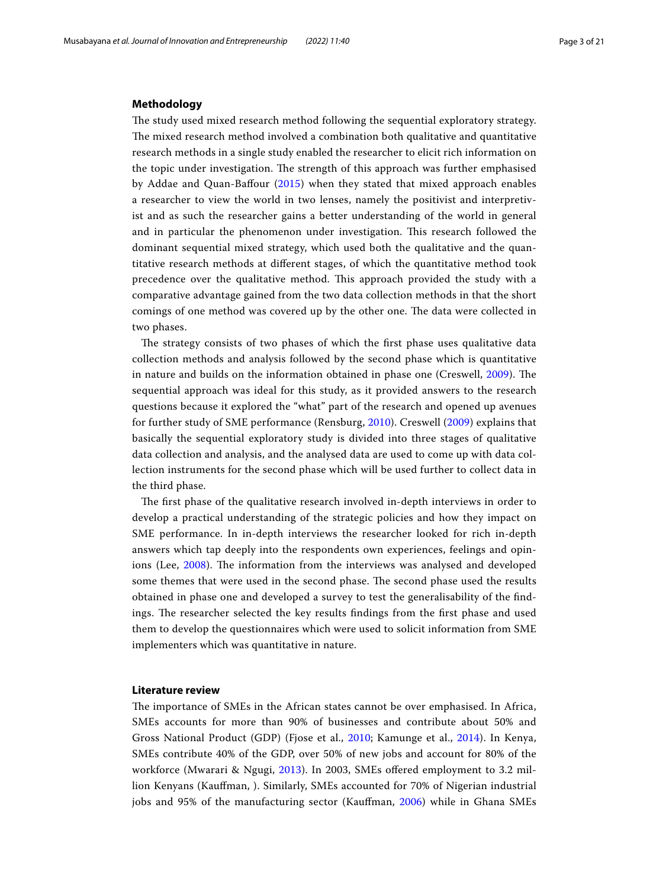#### **Methodology**

The study used mixed research method following the sequential exploratory strategy. The mixed research method involved a combination both qualitative and quantitative research methods in a single study enabled the researcher to elicit rich information on the topic under investigation. The strength of this approach was further emphasised by Addae and Quan-Bafour [\(2015\)](#page-18-1) when they stated that mixed approach enables a researcher to view the world in two lenses, namely the positivist and interpretivist and as such the researcher gains a better understanding of the world in general and in particular the phenomenon under investigation. This research followed the dominant sequential mixed strategy, which used both the qualitative and the quantitative research methods at diferent stages, of which the quantitative method took precedence over the qualitative method. Tis approach provided the study with a comparative advantage gained from the two data collection methods in that the short comings of one method was covered up by the other one. The data were collected in two phases.

The strategy consists of two phases of which the first phase uses qualitative data collection methods and analysis followed by the second phase which is quantitative in nature and builds on the information obtained in phase one (Creswell, [2009](#page-19-1)). The sequential approach was ideal for this study, as it provided answers to the research questions because it explored the "what" part of the research and opened up avenues for further study of SME performance (Rensburg, [2010\)](#page-20-5). Creswell [\(2009](#page-19-1)) explains that basically the sequential exploratory study is divided into three stages of qualitative data collection and analysis, and the analysed data are used to come up with data collection instruments for the second phase which will be used further to collect data in the third phase.

The first phase of the qualitative research involved in-depth interviews in order to develop a practical understanding of the strategic policies and how they impact on SME performance. In in-depth interviews the researcher looked for rich in-depth answers which tap deeply into the respondents own experiences, feelings and opin-ions (Lee, [2008\)](#page-19-2). The information from the interviews was analysed and developed some themes that were used in the second phase. The second phase used the results obtained in phase one and developed a survey to test the generalisability of the fndings. The researcher selected the key results findings from the first phase and used them to develop the questionnaires which were used to solicit information from SME implementers which was quantitative in nature.

#### **Literature review**

The importance of SMEs in the African states cannot be over emphasised. In Africa, SMEs accounts for more than 90% of businesses and contribute about 50% and Gross National Product (GDP) (Fjose et al., [2010;](#page-19-3) Kamunge et al., [2014](#page-19-4)). In Kenya, SMEs contribute 40% of the GDP, over 50% of new jobs and account for 80% of the workforce (Mwarari & Ngugi, [2013\)](#page-20-6). In 2003, SMEs ofered employment to 3.2 million Kenyans (Kaufman, ). Similarly, SMEs accounted for 70% of Nigerian industrial jobs and 95% of the manufacturing sector (Kaufman, [2006\)](#page-19-5) while in Ghana SMEs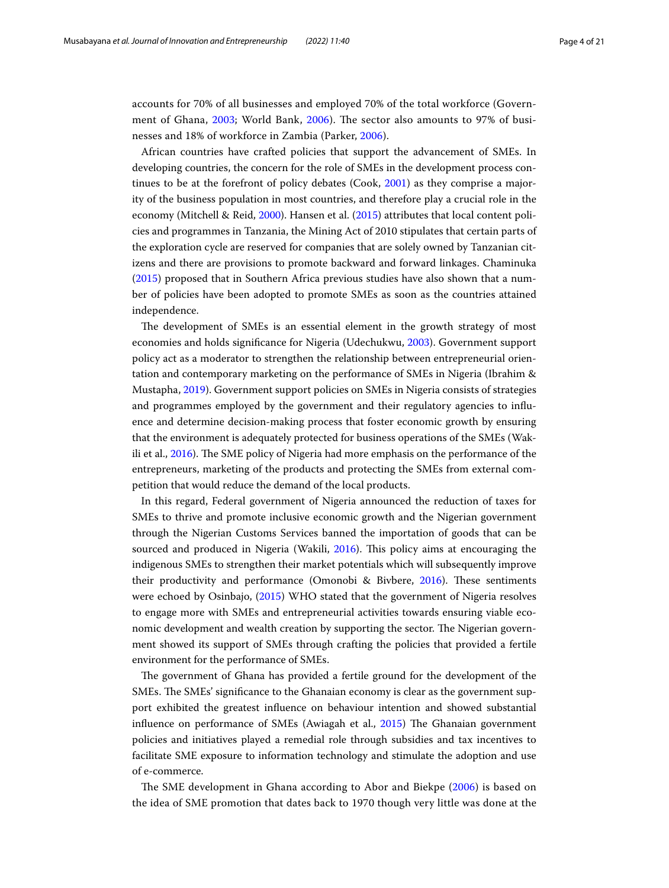accounts for 70% of all businesses and employed 70% of the total workforce (Govern-ment of Ghana, [2003](#page-19-6); World Bank, [2006](#page-20-7)). The sector also amounts to 97% of businesses and 18% of workforce in Zambia (Parker, [2006\)](#page-20-8).

African countries have crafted policies that support the advancement of SMEs. In developing countries, the concern for the role of SMEs in the development process continues to be at the forefront of policy debates (Cook, [2001](#page-19-7)) as they comprise a majority of the business population in most countries, and therefore play a crucial role in the economy (Mitchell & Reid, [2000](#page-20-9)). Hansen et al. ([2015\)](#page-19-8) attributes that local content policies and programmes in Tanzania, the Mining Act of 2010 stipulates that certain parts of the exploration cycle are reserved for companies that are solely owned by Tanzanian citizens and there are provisions to promote backward and forward linkages. Chaminuka ([2015\)](#page-18-2) proposed that in Southern Africa previous studies have also shown that a number of policies have been adopted to promote SMEs as soon as the countries attained independence.

The development of SMEs is an essential element in the growth strategy of most economies and holds signifcance for Nigeria (Udechukwu, [2003\)](#page-20-10). Government support policy act as a moderator to strengthen the relationship between entrepreneurial orientation and contemporary marketing on the performance of SMEs in Nigeria (Ibrahim & Mustapha, [2019\)](#page-19-9). Government support policies on SMEs in Nigeria consists of strategies and programmes employed by the government and their regulatory agencies to infuence and determine decision-making process that foster economic growth by ensuring that the environment is adequately protected for business operations of the SMEs (Wak-ili et al., [2016](#page-20-11)). The SME policy of Nigeria had more emphasis on the performance of the entrepreneurs, marketing of the products and protecting the SMEs from external competition that would reduce the demand of the local products.

In this regard, Federal government of Nigeria announced the reduction of taxes for SMEs to thrive and promote inclusive economic growth and the Nigerian government through the Nigerian Customs Services banned the importation of goods that can be sourced and produced in Nigeria (Wakili, [2016\)](#page-20-12). This policy aims at encouraging the indigenous SMEs to strengthen their market potentials which will subsequently improve their productivity and performance (Omonobi & Bivbere, [2016](#page-20-13)). These sentiments were echoed by Osinbajo, ([2015](#page-20-14)) WHO stated that the government of Nigeria resolves to engage more with SMEs and entrepreneurial activities towards ensuring viable economic development and wealth creation by supporting the sector. The Nigerian government showed its support of SMEs through crafting the policies that provided a fertile environment for the performance of SMEs.

The government of Ghana has provided a fertile ground for the development of the SMEs. The SMEs' significance to the Ghanaian economy is clear as the government support exhibited the greatest infuence on behaviour intention and showed substantial influence on performance of SMEs (Awiagah et al., [2015](#page-18-3)) The Ghanaian government policies and initiatives played a remedial role through subsidies and tax incentives to facilitate SME exposure to information technology and stimulate the adoption and use of e-commerce.

The SME development in Ghana according to Abor and Biekpe ([2006](#page-18-4)) is based on the idea of SME promotion that dates back to 1970 though very little was done at the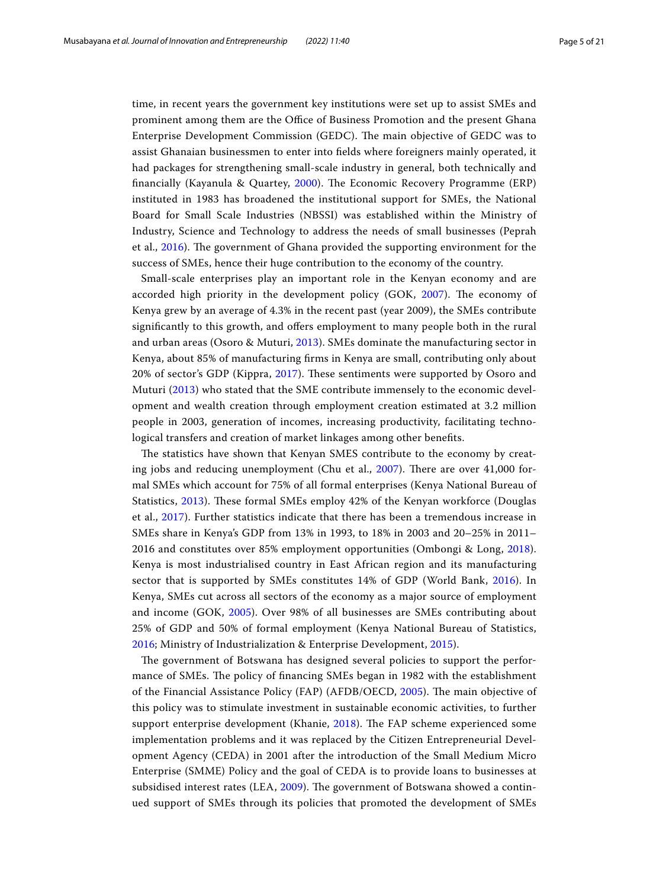time, in recent years the government key institutions were set up to assist SMEs and prominent among them are the Office of Business Promotion and the present Ghana Enterprise Development Commission (GEDC). The main objective of GEDC was to assist Ghanaian businessmen to enter into felds where foreigners mainly operated, it had packages for strengthening small-scale industry in general, both technically and financially (Kayanula & Quartey, [2000\)](#page-19-10). The Economic Recovery Programme (ERP) instituted in 1983 has broadened the institutional support for SMEs, the National Board for Small Scale Industries (NBSSI) was established within the Ministry of Industry, Science and Technology to address the needs of small businesses (Peprah et al., [2016\)](#page-20-15). The government of Ghana provided the supporting environment for the success of SMEs, hence their huge contribution to the economy of the country.

Small-scale enterprises play an important role in the Kenyan economy and are accorded high priority in the development policy (GOK, [2007\)](#page-19-11). The economy of Kenya grew by an average of 4.3% in the recent past (year 2009), the SMEs contribute signifcantly to this growth, and ofers employment to many people both in the rural and urban areas (Osoro & Muturi, [2013\)](#page-20-16). SMEs dominate the manufacturing sector in Kenya, about 85% of manufacturing frms in Kenya are small, contributing only about 20% of sector's GDP (Kippra, [2017](#page-19-12)). These sentiments were supported by Osoro and Muturi ([2013\)](#page-20-16) who stated that the SME contribute immensely to the economic development and wealth creation through employment creation estimated at 3.2 million people in 2003, generation of incomes, increasing productivity, facilitating technological transfers and creation of market linkages among other benefts.

The statistics have shown that Kenyan SMES contribute to the economy by creating jobs and reducing unemployment (Chu et al.,  $2007$ ). There are over  $41,000$  formal SMEs which account for 75% of all formal enterprises (Kenya National Bureau of Statistics, [2013\)](#page-19-13). These formal SMEs employ 42% of the Kenyan workforce (Douglas et al., [2017](#page-19-14)). Further statistics indicate that there has been a tremendous increase in SMEs share in Kenya's GDP from 13% in 1993, to 18% in 2003 and 20–25% in 2011– 2016 and constitutes over 85% employment opportunities (Ombongi & Long, [2018](#page-20-17)). Kenya is most industrialised country in East African region and its manufacturing sector that is supported by SMEs constitutes 14% of GDP (World Bank, [2016](#page-20-18)). In Kenya, SMEs cut across all sectors of the economy as a major source of employment and income (GOK, [2005\)](#page-19-15). Over 98% of all businesses are SMEs contributing about 25% of GDP and 50% of formal employment (Kenya National Bureau of Statistics, [2016;](#page-19-16) Ministry of Industrialization & Enterprise Development, [2015](#page-19-17)).

The government of Botswana has designed several policies to support the performance of SMEs. The policy of financing SMEs began in 1982 with the establishment of the Financial Assistance Policy (FAP) (AFDB/OECD, [2005\)](#page-18-6). The main objective of this policy was to stimulate investment in sustainable economic activities, to further support enterprise development (Khanie, [2018](#page-19-18)). The FAP scheme experienced some implementation problems and it was replaced by the Citizen Entrepreneurial Development Agency (CEDA) in 2001 after the introduction of the Small Medium Micro Enterprise (SMME) Policy and the goal of CEDA is to provide loans to businesses at subsidised interest rates (LEA, [2009\)](#page-19-19). The government of Botswana showed a continued support of SMEs through its policies that promoted the development of SMEs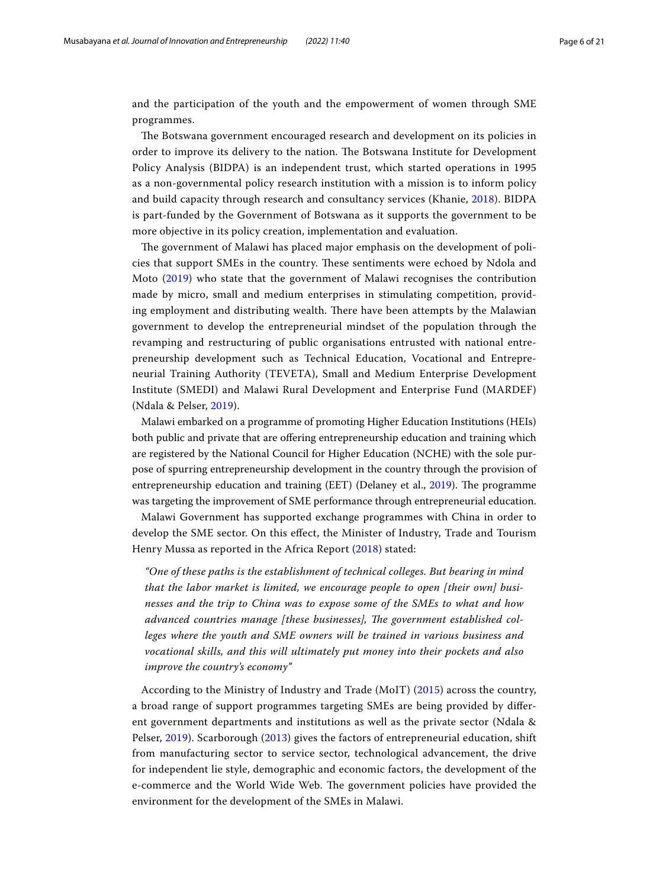and the participation of the youth and the empowerment of women through SME programmes.

The Botswana government encouraged research and development on its policies in order to improve its delivery to the nation. The Botswana Institute for Development Policy Analysis (BIDPA) is an independent trust, which started operations in 1995 as a non-governmental policy research institution with a mission is to inform policy and build capacity through research and consultancy services (Khanie, [2018](#page-19-18)). BIDPA is part-funded by the Government of Botswana as it supports the government to be more objective in its policy creation, implementation and evaluation.

The government of Malawi has placed major emphasis on the development of policies that support SMEs in the country. These sentiments were echoed by Ndola and Moto ([2019](#page-20-19)) who state that the government of Malawi recognises the contribution made by micro, small and medium enterprises in stimulating competition, providing employment and distributing wealth. There have been attempts by the Malawian government to develop the entrepreneurial mindset of the population through the revamping and restructuring of public organisations entrusted with national entrepreneurship development such as Technical Education, Vocational and Entrepreneurial Training Authority (TEVETA), Small and Medium Enterprise Development Institute (SMEDI) and Malawi Rural Development and Enterprise Fund (MARDEF) (Ndala & Pelser, [2019\)](#page-20-20).

Malawi embarked on a programme of promoting Higher Education Institutions (HEIs) both public and private that are ofering entrepreneurship education and training which are registered by the National Council for Higher Education (NCHE) with the sole purpose of spurring entrepreneurship development in the country through the provision of entrepreneurship education and training (EET) (Delaney et al., [2019](#page-19-20)). The programme was targeting the improvement of SME performance through entrepreneurial education.

Malawi Government has supported exchange programmes with China in order to develop the SME sector. On this efect, the Minister of Industry, Trade and Tourism Henry Mussa as reported in the Africa Report ([2018](#page-18-7)) stated:

*"One of these paths is the establishment of technical colleges. But bearing in mind that the labor market is limited, we encourage people to open [their own] businesses and the trip to China was to expose some of the SMEs to what and how*  advanced countries manage [these businesses], The government established col*leges where the youth and SME owners will be trained in various business and vocational skills, and this will ultimately put money into their pockets and also improve the country's economy"*

According to the Ministry of Industry and Trade (MoIT) ([2015\)](#page-19-21) across the country, a broad range of support programmes targeting SMEs are being provided by diferent government departments and institutions as well as the private sector (Ndala & Pelser, [2019](#page-20-20)). Scarborough ([2013\)](#page-20-21) gives the factors of entrepreneurial education, shift from manufacturing sector to service sector, technological advancement, the drive for independent lie style, demographic and economic factors, the development of the e-commerce and the World Wide Web. The government policies have provided the environment for the development of the SMEs in Malawi.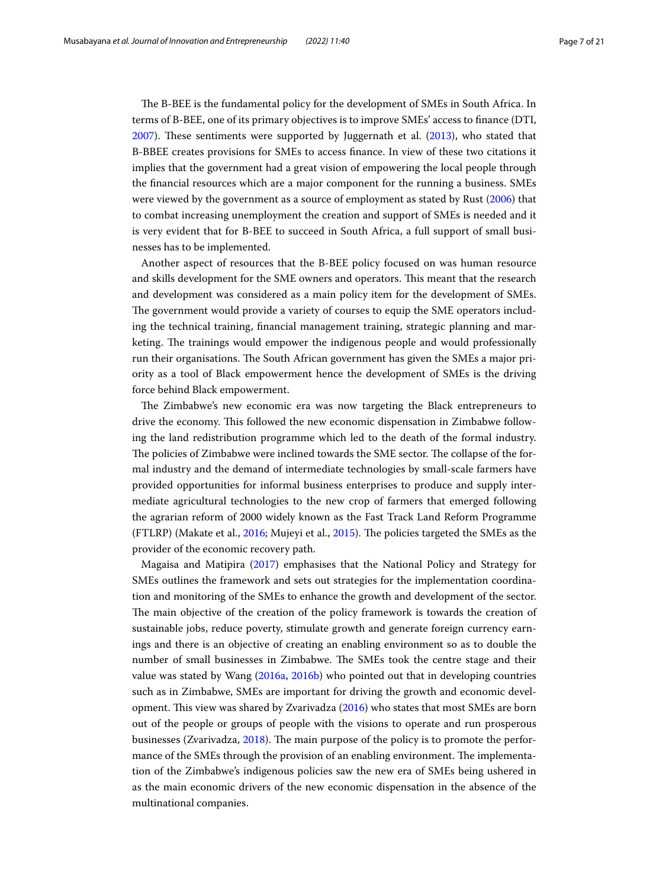The B-BEE is the fundamental policy for the development of SMEs in South Africa. In terms of B-BEE, one of its primary objectives is to improve SMEs' access to fnance (DTI,  $2007$ ). These sentiments were supported by Juggernath et al.  $(2013)$  $(2013)$ , who stated that B-BBEE creates provisions for SMEs to access fnance. In view of these two citations it implies that the government had a great vision of empowering the local people through the fnancial resources which are a major component for the running a business. SMEs were viewed by the government as a source of employment as stated by Rust [\(2006\)](#page-20-22) that to combat increasing unemployment the creation and support of SMEs is needed and it is very evident that for B-BEE to succeed in South Africa, a full support of small businesses has to be implemented.

Another aspect of resources that the B-BEE policy focused on was human resource and skills development for the SME owners and operators. Tis meant that the research and development was considered as a main policy item for the development of SMEs. The government would provide a variety of courses to equip the SME operators including the technical training, fnancial management training, strategic planning and marketing. The trainings would empower the indigenous people and would professionally run their organisations. The South African government has given the SMEs a major priority as a tool of Black empowerment hence the development of SMEs is the driving force behind Black empowerment.

The Zimbabwe's new economic era was now targeting the Black entrepreneurs to drive the economy. This followed the new economic dispensation in Zimbabwe following the land redistribution programme which led to the death of the formal industry. The policies of Zimbabwe were inclined towards the SME sector. The collapse of the formal industry and the demand of intermediate technologies by small-scale farmers have provided opportunities for informal business enterprises to produce and supply intermediate agricultural technologies to the new crop of farmers that emerged following the agrarian reform of 2000 widely known as the Fast Track Land Reform Programme (FTLRP) (Makate et al., [2016](#page-19-24); Mujeyi et al., [2015](#page-20-23)). The policies targeted the SMEs as the provider of the economic recovery path.

Magaisa and Matipira ([2017](#page-19-25)) emphasises that the National Policy and Strategy for SMEs outlines the framework and sets out strategies for the implementation coordination and monitoring of the SMEs to enhance the growth and development of the sector. The main objective of the creation of the policy framework is towards the creation of sustainable jobs, reduce poverty, stimulate growth and generate foreign currency earnings and there is an objective of creating an enabling environment so as to double the number of small businesses in Zimbabwe. The SMEs took the centre stage and their value was stated by Wang [\(2016a,](#page-20-2) [2016b](#page-20-3)) who pointed out that in developing countries such as in Zimbabwe, SMEs are important for driving the growth and economic devel-opment. This view was shared by Zvarivadza [\(2016\)](#page-20-4) who states that most SMEs are born out of the people or groups of people with the visions to operate and run prosperous businesses (Zvarivadza, [2018](#page-20-24)). The main purpose of the policy is to promote the performance of the SMEs through the provision of an enabling environment. The implementation of the Zimbabwe's indigenous policies saw the new era of SMEs being ushered in as the main economic drivers of the new economic dispensation in the absence of the multinational companies.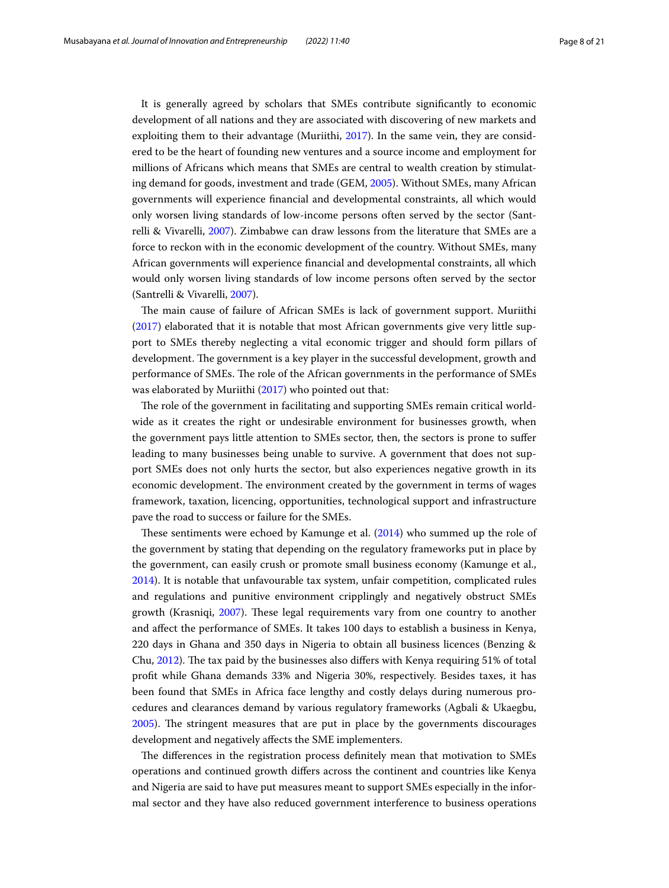It is generally agreed by scholars that SMEs contribute signifcantly to economic development of all nations and they are associated with discovering of new markets and exploiting them to their advantage (Muriithi, [2017](#page-20-25)). In the same vein, they are considered to be the heart of founding new ventures and a source income and employment for millions of Africans which means that SMEs are central to wealth creation by stimulating demand for goods, investment and trade (GEM, [2005](#page-19-26)). Without SMEs, many African governments will experience fnancial and developmental constraints, all which would only worsen living standards of low-income persons often served by the sector (Santrelli & Vivarelli, [2007](#page-20-26)). Zimbabwe can draw lessons from the literature that SMEs are a force to reckon with in the economic development of the country. Without SMEs, many African governments will experience fnancial and developmental constraints, all which would only worsen living standards of low income persons often served by the sector (Santrelli & Vivarelli, [2007\)](#page-20-26).

The main cause of failure of African SMEs is lack of government support. Muriithi ([2017\)](#page-20-25) elaborated that it is notable that most African governments give very little support to SMEs thereby neglecting a vital economic trigger and should form pillars of development. The government is a key player in the successful development, growth and performance of SMEs. The role of the African governments in the performance of SMEs was elaborated by Muriithi ([2017](#page-20-25)) who pointed out that:

The role of the government in facilitating and supporting SMEs remain critical worldwide as it creates the right or undesirable environment for businesses growth, when the government pays little attention to SMEs sector, then, the sectors is prone to sufer leading to many businesses being unable to survive. A government that does not support SMEs does not only hurts the sector, but also experiences negative growth in its economic development. The environment created by the government in terms of wages framework, taxation, licencing, opportunities, technological support and infrastructure pave the road to success or failure for the SMEs.

These sentiments were echoed by Kamunge et al.  $(2014)$  who summed up the role of the government by stating that depending on the regulatory frameworks put in place by the government, can easily crush or promote small business economy (Kamunge et al., [2014](#page-19-4)). It is notable that unfavourable tax system, unfair competition, complicated rules and regulations and punitive environment cripplingly and negatively obstruct SMEs growth (Krasniqi, [2007\)](#page-19-27). These legal requirements vary from one country to another and afect the performance of SMEs. It takes 100 days to establish a business in Kenya, 220 days in Ghana and 350 days in Nigeria to obtain all business licences (Benzing & Chu, [2012](#page-18-8)). The tax paid by the businesses also differs with Kenya requiring 51% of total proft while Ghana demands 33% and Nigeria 30%, respectively. Besides taxes, it has been found that SMEs in Africa face lengthy and costly delays during numerous procedures and clearances demand by various regulatory frameworks (Agbali & Ukaegbu, [2005](#page-18-9)). The stringent measures that are put in place by the governments discourages development and negatively afects the SME implementers.

The differences in the registration process definitely mean that motivation to SMEs operations and continued growth difers across the continent and countries like Kenya and Nigeria are said to have put measures meant to support SMEs especially in the informal sector and they have also reduced government interference to business operations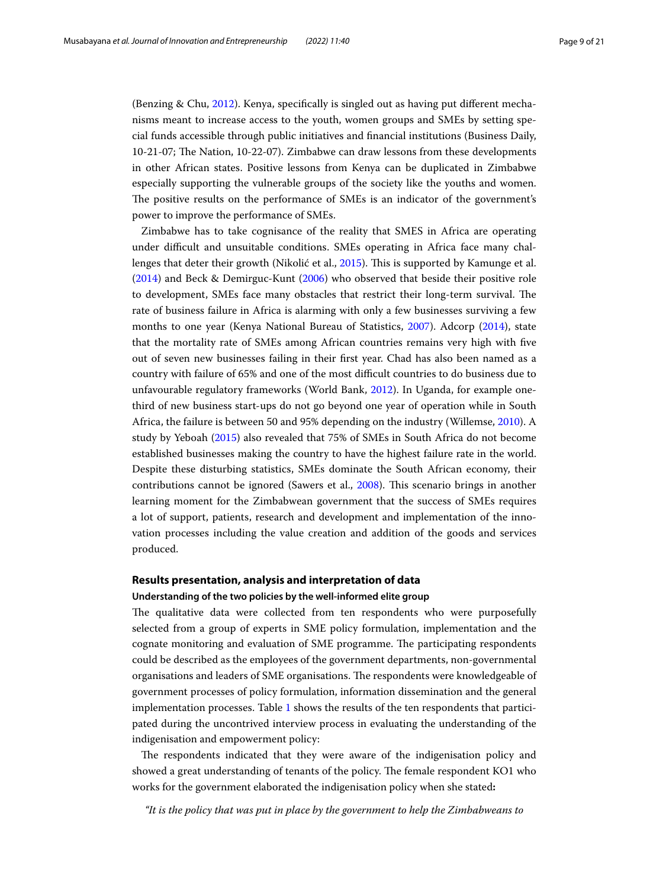(Benzing & Chu, [2012\)](#page-18-8). Kenya, specifcally is singled out as having put diferent mechanisms meant to increase access to the youth, women groups and SMEs by setting special funds accessible through public initiatives and fnancial institutions (Business Daily, 10-21-07; Te Nation, 10-22-07). Zimbabwe can draw lessons from these developments in other African states. Positive lessons from Kenya can be duplicated in Zimbabwe especially supporting the vulnerable groups of the society like the youths and women. The positive results on the performance of SMEs is an indicator of the government's power to improve the performance of SMEs.

Zimbabwe has to take cognisance of the reality that SMES in Africa are operating under difficult and unsuitable conditions. SMEs operating in Africa face many chal-lenges that deter their growth (Nikolić et al., [2015](#page-20-27)). This is supported by Kamunge et al. ([2014\)](#page-19-4) and Beck & Demirguc-Kunt [\(2006\)](#page-18-10) who observed that beside their positive role to development, SMEs face many obstacles that restrict their long-term survival. The rate of business failure in Africa is alarming with only a few businesses surviving a few months to one year (Kenya National Bureau of Statistics, [2007\)](#page-19-28). Adcorp ([2014](#page-18-11)), state that the mortality rate of SMEs among African countries remains very high with fve out of seven new businesses failing in their frst year. Chad has also been named as a country with failure of 65% and one of the most difficult countries to do business due to unfavourable regulatory frameworks (World Bank, [2012\)](#page-20-28). In Uganda, for example onethird of new business start-ups do not go beyond one year of operation while in South Africa, the failure is between 50 and 95% depending on the industry (Willemse, [2010\)](#page-20-29). A study by Yeboah [\(2015\)](#page-20-30) also revealed that 75% of SMEs in South Africa do not become established businesses making the country to have the highest failure rate in the world. Despite these disturbing statistics, SMEs dominate the South African economy, their contributions cannot be ignored (Sawers et al., [2008\)](#page-20-31). Tis scenario brings in another learning moment for the Zimbabwean government that the success of SMEs requires a lot of support, patients, research and development and implementation of the innovation processes including the value creation and addition of the goods and services produced.

# **Results presentation, analysis and interpretation of data**

### **Understanding of the two policies by the well‑informed elite group**

The qualitative data were collected from ten respondents who were purposefully selected from a group of experts in SME policy formulation, implementation and the cognate monitoring and evaluation of SME programme. The participating respondents could be described as the employees of the government departments, non-governmental organisations and leaders of SME organisations. The respondents were knowledgeable of government processes of policy formulation, information dissemination and the general implementation processes. Table [1](#page-9-0) shows the results of the ten respondents that participated during the uncontrived interview process in evaluating the understanding of the indigenisation and empowerment policy:

The respondents indicated that they were aware of the indigenisation policy and showed a great understanding of tenants of the policy. The female respondent KO1 who works for the government elaborated the indigenisation policy when she stated**:**

*"It is the policy that was put in place by the government to help the Zimbabweans to*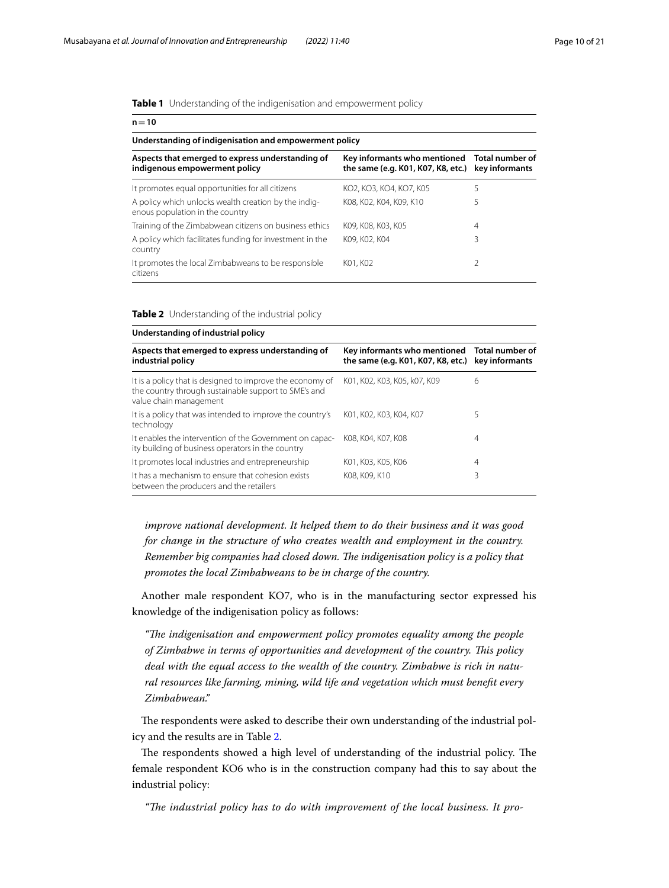<span id="page-9-0"></span>**Table 1** Understanding of the indigenisation and empowerment policy

| $n = 10$                                                                                |                                                                    |                                   |  |  |
|-----------------------------------------------------------------------------------------|--------------------------------------------------------------------|-----------------------------------|--|--|
| Understanding of indigenisation and empowerment policy                                  |                                                                    |                                   |  |  |
| Aspects that emerged to express understanding of<br>indigenous empowerment policy       | Key informants who mentioned<br>the same (e.g. K01, K07, K8, etc.) | Total number of<br>key informants |  |  |
| It promotes equal opportunities for all citizens                                        | KO2, KO3, KO4, KO7, K05                                            | 5                                 |  |  |
| A policy which unlocks wealth creation by the indig-<br>enous population in the country | K08, K02, K04, K09, K10                                            | 5                                 |  |  |
| Training of the Zimbabwean citizens on business ethics                                  | K09, K08, K03, K05                                                 | 4                                 |  |  |
| A policy which facilitates funding for investment in the<br>country                     | K09, K02, K04                                                      | 3                                 |  |  |
| It promotes the local Zimbabweans to be responsible<br>citizens                         | K01, K02                                                           | 2                                 |  |  |

<span id="page-9-1"></span>**Table 2** Understanding of the industrial policy

| Understanding of industrial policy                                                                                                          |                                                                                                   |   |  |  |  |
|---------------------------------------------------------------------------------------------------------------------------------------------|---------------------------------------------------------------------------------------------------|---|--|--|--|
| Aspects that emerged to express understanding of<br>industrial policy                                                                       | Key informants who mentioned Total number of<br>the same (e.g. K01, K07, K8, etc.) key informants |   |  |  |  |
| It is a policy that is designed to improve the economy of<br>the country through sustainable support to SME's and<br>value chain management | K01, K02, K03, K05, k07, K09                                                                      | 6 |  |  |  |
| It is a policy that was intended to improve the country's<br>technology                                                                     | K01, K02, K03, K04, K07                                                                           | 5 |  |  |  |
| It enables the intervention of the Government on capac-<br>ity building of business operators in the country                                | K08, K04, K07, K08                                                                                | 4 |  |  |  |
| It promotes local industries and entrepreneurship                                                                                           | K01, K03, K05, K06                                                                                | 4 |  |  |  |
| It has a mechanism to ensure that cohesion exists<br>between the producers and the retailers                                                | K08, K09, K10                                                                                     | 3 |  |  |  |

*improve national development. It helped them to do their business and it was good for change in the structure of who creates wealth and employment in the country. Remember big companies had closed down. Te indigenisation policy is a policy that promotes the local Zimbabweans to be in charge of the country.*

Another male respondent KO7, who is in the manufacturing sector expressed his knowledge of the indigenisation policy as follows:

*"Te indigenisation and empowerment policy promotes equality among the people of Zimbabwe in terms of opportunities and development of the country. Tis policy deal with the equal access to the wealth of the country. Zimbabwe is rich in natural resources like farming, mining, wild life and vegetation which must beneft every Zimbabwean."*

The respondents were asked to describe their own understanding of the industrial policy and the results are in Table [2.](#page-9-1)

The respondents showed a high level of understanding of the industrial policy. The female respondent KO6 who is in the construction company had this to say about the industrial policy:

"The industrial policy has to do with improvement of the local business. It pro-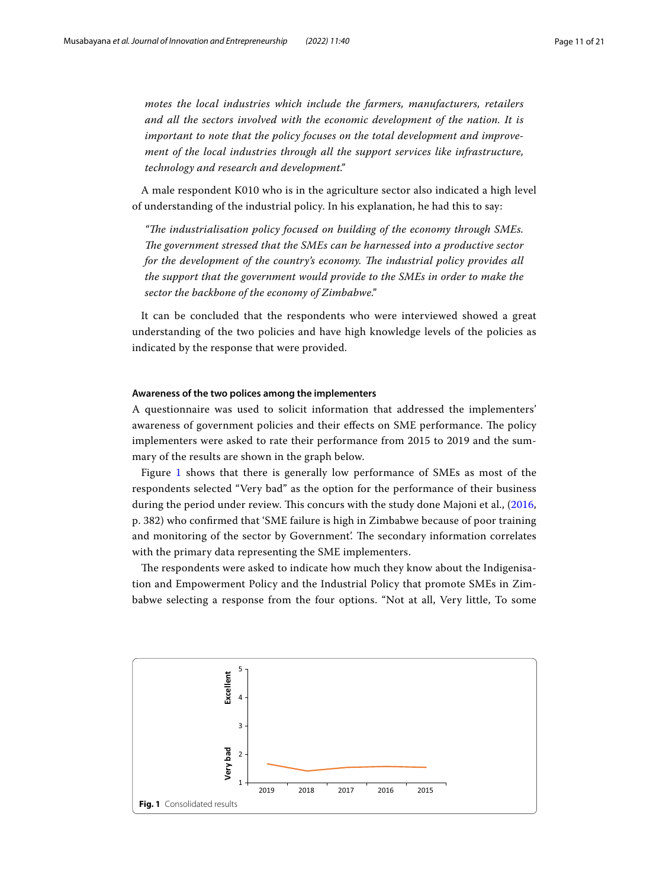*motes the local industries which include the farmers, manufacturers, retailers and all the sectors involved with the economic development of the nation. It is important to note that the policy focuses on the total development and improvement of the local industries through all the support services like infrastructure, technology and research and development."*

A male respondent K010 who is in the agriculture sector also indicated a high level of understanding of the industrial policy. In his explanation, he had this to say:

*"Te industrialisation policy focused on building of the economy through SMEs.*  The government stressed that the SMEs can be harnessed into a productive sector *for the development of the country's economy. The industrial policy provides all the support that the government would provide to the SMEs in order to make the sector the backbone of the economy of Zimbabwe."*

It can be concluded that the respondents who were interviewed showed a great understanding of the two policies and have high knowledge levels of the policies as indicated by the response that were provided.

#### **Awareness of the two polices among the implementers**

A questionnaire was used to solicit information that addressed the implementers' awareness of government policies and their effects on SME performance. The policy implementers were asked to rate their performance from 2015 to 2019 and the summary of the results are shown in the graph below.

Figure [1](#page-10-0) shows that there is generally low performance of SMEs as most of the respondents selected "Very bad" as the option for the performance of their business during the period under review. This concurs with the study done Majoni et al., ([2016](#page-19-29), p. 382) who confrmed that 'SME failure is high in Zimbabwe because of poor training and monitoring of the sector by Government'. The secondary information correlates with the primary data representing the SME implementers.

The respondents were asked to indicate how much they know about the Indigenisation and Empowerment Policy and the Industrial Policy that promote SMEs in Zimbabwe selecting a response from the four options. "Not at all, Very little, To some

<span id="page-10-0"></span>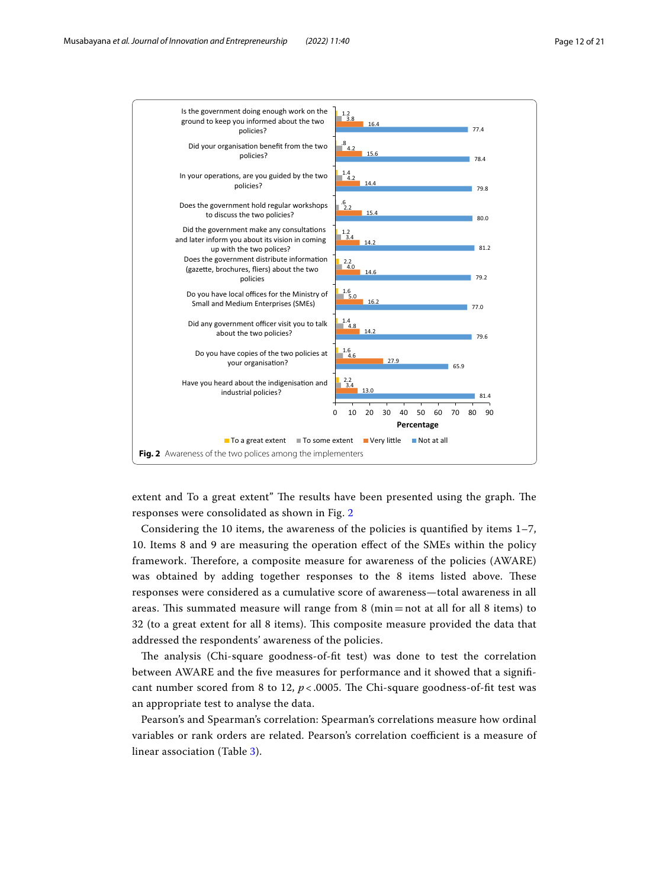

<span id="page-11-0"></span>extent and To a great extent" The results have been presented using the graph. The responses were consolidated as shown in Fig. [2](#page-11-0)

Considering the 10 items, the awareness of the policies is quantified by items  $1-7$ , 10. Items 8 and 9 are measuring the operation efect of the SMEs within the policy framework. Therefore, a composite measure for awareness of the policies (AWARE) was obtained by adding together responses to the 8 items listed above. These responses were considered as a cumulative score of awareness—total awareness in all areas. This summated measure will range from  $8 \text{ (min} = \text{not at all for all } 8 \text{ items)}$  to 32 (to a great extent for all 8 items). Tis composite measure provided the data that addressed the respondents' awareness of the policies.

The analysis (Chi-square goodness-of-fit test) was done to test the correlation between AWARE and the fve measures for performance and it showed that a signifcant number scored from 8 to 12,  $p < 0.0005$ . The Chi-square goodness-of-fit test was an appropriate test to analyse the data.

Pearson's and Spearman's correlation: Spearman's correlations measure how ordinal variables or rank orders are related. Pearson's correlation coefficient is a measure of linear association (Table [3\)](#page-12-0).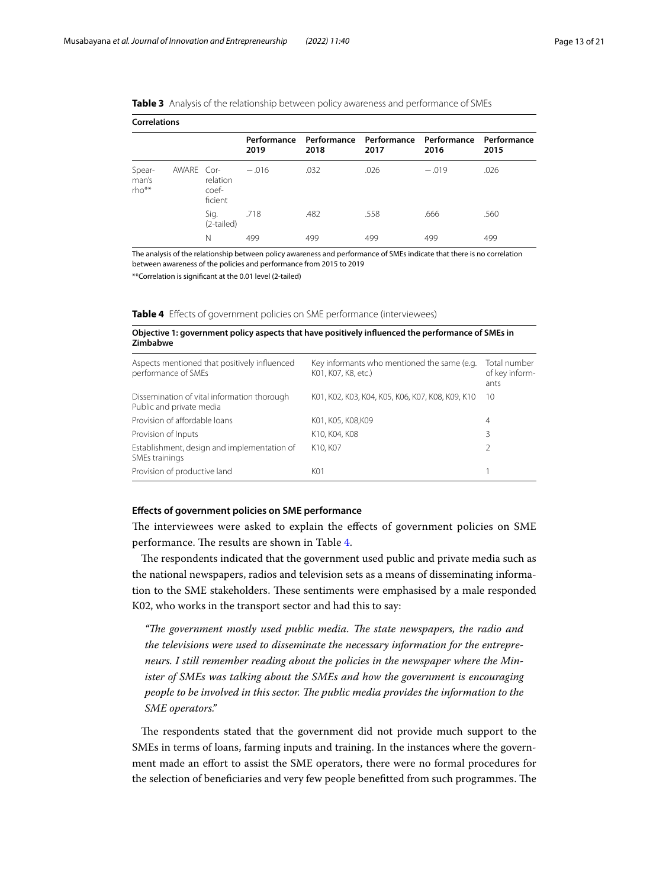| <b>Correlations</b>        |            |                              |         |      |                                                                     |         |      |
|----------------------------|------------|------------------------------|---------|------|---------------------------------------------------------------------|---------|------|
|                            |            |                              | 2019    | 2018 | Performance Performance Performance Performance Performance<br>2017 | 2016    | 2015 |
| Spear-<br>man's<br>$rho**$ | AWARE Cor- | relation<br>coef-<br>ficient | $-.016$ | .032 | .026                                                                | $-.019$ | .026 |
|                            |            | Sig.<br>(2-tailed)           | .718    | .482 | .558                                                                | .666    | .560 |
|                            |            | Ν                            | 499     | 499  | 499                                                                 | 499     | 499  |

<span id="page-12-0"></span>

The analysis of the relationship between policy awareness and performance of SMEs indicate that there is no correlation between awareness of the policies and performance from 2015 to 2019

\*\*Correlation is signifcant at the 0.01 level (2-tailed)

<span id="page-12-1"></span>

| <b>Table 4</b> Effects of government policies on SME performance (interviewees) |  |  |  |  |
|---------------------------------------------------------------------------------|--|--|--|--|
|---------------------------------------------------------------------------------|--|--|--|--|

| Objective 1: government policy aspects that have positively influenced the performance of SMEs in |  |
|---------------------------------------------------------------------------------------------------|--|
| Zimbabwe                                                                                          |  |

| Aspects mentioned that positively influenced<br>performance of SMEs     | Key informants who mentioned the same (e.g.<br>K01, K07, K8, etc.) | Total number<br>of key inform-<br>ants |
|-------------------------------------------------------------------------|--------------------------------------------------------------------|----------------------------------------|
| Dissemination of vital information thorough<br>Public and private media | K01, K02, K03, K04, K05, K06, K07, K08, K09, K10                   | 10                                     |
| Provision of affordable loans                                           | K01, K05, K08,K09                                                  | 4                                      |
| Provision of Inputs                                                     | K10, K04, K08                                                      | 3                                      |
| Establishment, design and implementation of<br>SMEs trainings           | K <sub>10</sub> , K <sub>07</sub>                                  | V                                      |
| Provision of productive land                                            | K01                                                                |                                        |

### **Efects of government policies on SME performance**

The interviewees were asked to explain the effects of government policies on SME performance. The results are shown in Table [4.](#page-12-1)

The respondents indicated that the government used public and private media such as the national newspapers, radios and television sets as a means of disseminating information to the SME stakeholders. These sentiments were emphasised by a male responded K02, who works in the transport sector and had this to say:

"The government mostly used public media. The state newspapers, the radio and *the televisions were used to disseminate the necessary information for the entrepreneurs. I still remember reading about the policies in the newspaper where the Minister of SMEs was talking about the SMEs and how the government is encouraging people to be involved in this sector. The public media provides the information to the SME operators."*

The respondents stated that the government did not provide much support to the SMEs in terms of loans, farming inputs and training. In the instances where the government made an efort to assist the SME operators, there were no formal procedures for the selection of beneficiaries and very few people benefitted from such programmes. The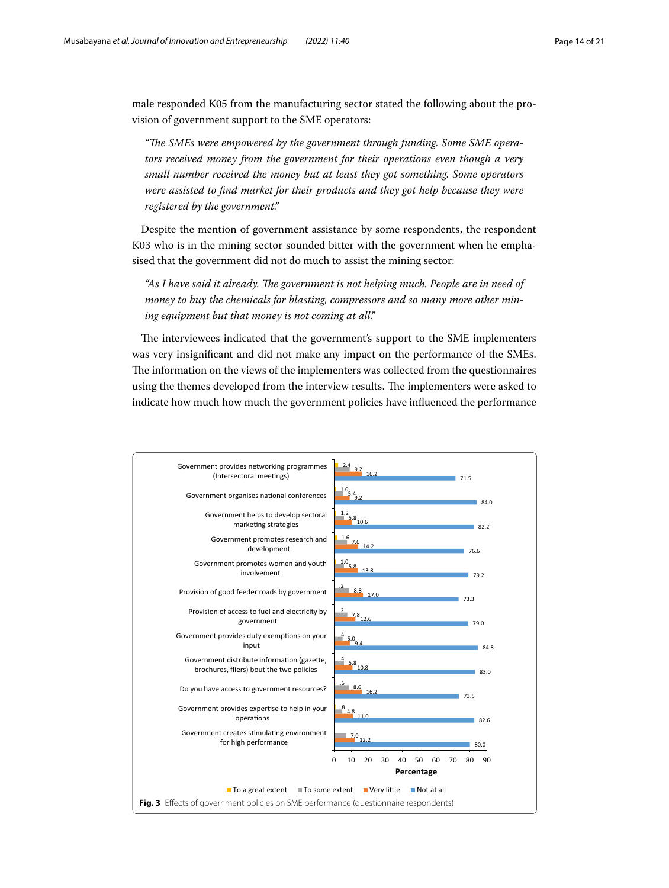male responded K05 from the manufacturing sector stated the following about the provision of government support to the SME operators:

"The SMEs were empowered by the government through funding. Some SME opera*tors received money from the government for their operations even though a very small number received the money but at least they got something. Some operators were assisted to fnd market for their products and they got help because they were registered by the government."*

Despite the mention of government assistance by some respondents, the respondent K03 who is in the mining sector sounded bitter with the government when he emphasised that the government did not do much to assist the mining sector:

"As I have said it already. The government is not helping much. People are in need of *money to buy the chemicals for blasting, compressors and so many more other mining equipment but that money is not coming at all."*

The interviewees indicated that the government's support to the SME implementers was very insignifcant and did not make any impact on the performance of the SMEs. The information on the views of the implementers was collected from the questionnaires using the themes developed from the interview results. The implementers were asked to indicate how much how much the government policies have infuenced the performance

<span id="page-13-0"></span>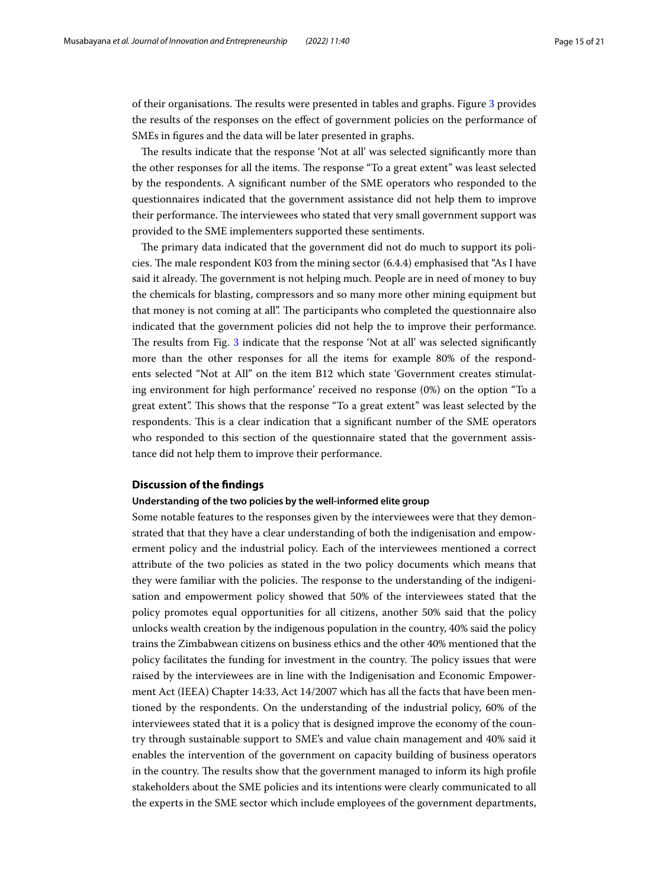of their organisations. The results were presented in tables and graphs. Figure [3](#page-13-0) provides the results of the responses on the efect of government policies on the performance of SMEs in fgures and the data will be later presented in graphs.

The results indicate that the response 'Not at all' was selected significantly more than the other responses for all the items. The response "To a great extent" was least selected by the respondents. A signifcant number of the SME operators who responded to the questionnaires indicated that the government assistance did not help them to improve their performance. The interviewees who stated that very small government support was provided to the SME implementers supported these sentiments.

The primary data indicated that the government did not do much to support its policies. The male respondent K03 from the mining sector  $(6.4.4)$  emphasised that "As I have said it already. The government is not helping much. People are in need of money to buy the chemicals for blasting, compressors and so many more other mining equipment but that money is not coming at all". The participants who completed the questionnaire also indicated that the government policies did not help the to improve their performance. The results from Fig. [3](#page-13-0) indicate that the response 'Not at all' was selected significantly more than the other responses for all the items for example 80% of the respondents selected "Not at All" on the item B12 which state 'Government creates stimulating environment for high performance' received no response (0%) on the option "To a great extent". Tis shows that the response "To a great extent" was least selected by the respondents. Tis is a clear indication that a signifcant number of the SME operators who responded to this section of the questionnaire stated that the government assistance did not help them to improve their performance.

## **Discussion of the fndings**

#### **Understanding of the two policies by the well‑informed elite group**

Some notable features to the responses given by the interviewees were that they demonstrated that that they have a clear understanding of both the indigenisation and empowerment policy and the industrial policy. Each of the interviewees mentioned a correct attribute of the two policies as stated in the two policy documents which means that they were familiar with the policies. The response to the understanding of the indigenisation and empowerment policy showed that 50% of the interviewees stated that the policy promotes equal opportunities for all citizens, another 50% said that the policy unlocks wealth creation by the indigenous population in the country, 40% said the policy trains the Zimbabwean citizens on business ethics and the other 40% mentioned that the policy facilitates the funding for investment in the country. The policy issues that were raised by the interviewees are in line with the Indigenisation and Economic Empowerment Act (IEEA) Chapter 14:33, Act 14/2007 which has all the facts that have been mentioned by the respondents. On the understanding of the industrial policy, 60% of the interviewees stated that it is a policy that is designed improve the economy of the country through sustainable support to SME's and value chain management and 40% said it enables the intervention of the government on capacity building of business operators in the country. The results show that the government managed to inform its high profile stakeholders about the SME policies and its intentions were clearly communicated to all the experts in the SME sector which include employees of the government departments,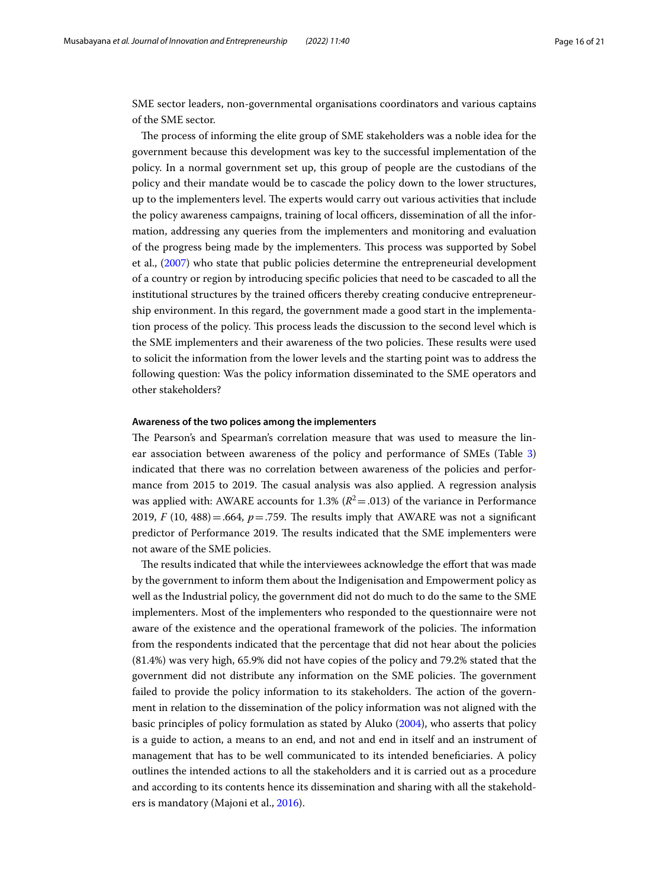SME sector leaders, non-governmental organisations coordinators and various captains of the SME sector.

The process of informing the elite group of SME stakeholders was a noble idea for the government because this development was key to the successful implementation of the policy. In a normal government set up, this group of people are the custodians of the policy and their mandate would be to cascade the policy down to the lower structures, up to the implementers level. The experts would carry out various activities that include the policy awareness campaigns, training of local officers, dissemination of all the information, addressing any queries from the implementers and monitoring and evaluation of the progress being made by the implementers. Tis process was supported by Sobel et al., [\(2007\)](#page-20-0) who state that public policies determine the entrepreneurial development of a country or region by introducing specifc policies that need to be cascaded to all the institutional structures by the trained officers thereby creating conducive entrepreneurship environment. In this regard, the government made a good start in the implementation process of the policy. Tis process leads the discussion to the second level which is the SME implementers and their awareness of the two policies. These results were used to solicit the information from the lower levels and the starting point was to address the following question: Was the policy information disseminated to the SME operators and other stakeholders?

## **Awareness of the two polices among the implementers**

The Pearson's and Spearman's correlation measure that was used to measure the linear association between awareness of the policy and performance of SMEs (Table [3](#page-12-0)) indicated that there was no correlation between awareness of the policies and performance from 2015 to 2019. The casual analysis was also applied. A regression analysis was applied with: AWARE accounts for 1.3%  $(R^2 = .013)$  of the variance in Performance 2019, *F* (10, 488) = .664,  $p = .759$ . The results imply that AWARE was not a significant predictor of Performance 2019. The results indicated that the SME implementers were not aware of the SME policies.

The results indicated that while the interviewees acknowledge the effort that was made by the government to inform them about the Indigenisation and Empowerment policy as well as the Industrial policy, the government did not do much to do the same to the SME implementers. Most of the implementers who responded to the questionnaire were not aware of the existence and the operational framework of the policies. The information from the respondents indicated that the percentage that did not hear about the policies (81.4%) was very high, 65.9% did not have copies of the policy and 79.2% stated that the government did not distribute any information on the SME policies. The government failed to provide the policy information to its stakeholders. The action of the government in relation to the dissemination of the policy information was not aligned with the basic principles of policy formulation as stated by Aluko [\(2004](#page-18-12)), who asserts that policy is a guide to action, a means to an end, and not and end in itself and an instrument of management that has to be well communicated to its intended benefciaries. A policy outlines the intended actions to all the stakeholders and it is carried out as a procedure and according to its contents hence its dissemination and sharing with all the stakeholders is mandatory (Majoni et al., [2016](#page-19-29)).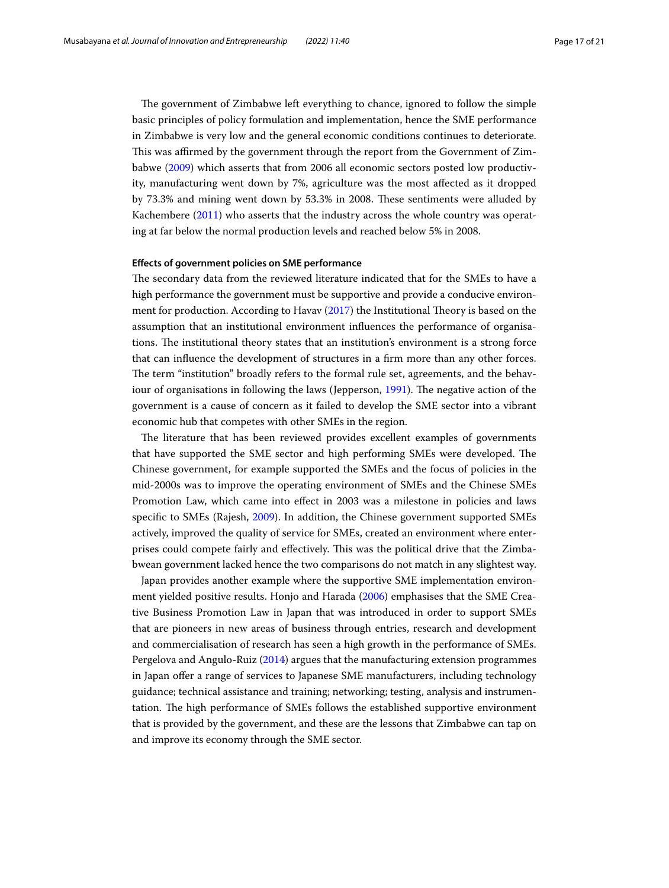The government of Zimbabwe left everything to chance, ignored to follow the simple basic principles of policy formulation and implementation, hence the SME performance in Zimbabwe is very low and the general economic conditions continues to deteriorate. This was affirmed by the government through the report from the Government of Zimbabwe ([2009\)](#page-19-30) which asserts that from 2006 all economic sectors posted low productivity, manufacturing went down by 7%, agriculture was the most afected as it dropped by 73.3% and mining went down by 53.3% in 2008. These sentiments were alluded by Kachembere [\(2011\)](#page-19-31) who asserts that the industry across the whole country was operating at far below the normal production levels and reached below 5% in 2008.

## **Efects of government policies on SME performance**

The secondary data from the reviewed literature indicated that for the SMEs to have a high performance the government must be supportive and provide a conducive environ-ment for production. According to Havav [\(2017\)](#page-19-32) the Institutional Theory is based on the assumption that an institutional environment infuences the performance of organisations. The institutional theory states that an institution's environment is a strong force that can infuence the development of structures in a frm more than any other forces. The term "institution" broadly refers to the formal rule set, agreements, and the behav-iour of organisations in following the laws (Jepperson, [1991\)](#page-19-33). The negative action of the government is a cause of concern as it failed to develop the SME sector into a vibrant economic hub that competes with other SMEs in the region.

The literature that has been reviewed provides excellent examples of governments that have supported the SME sector and high performing SMEs were developed. The Chinese government, for example supported the SMEs and the focus of policies in the mid-2000s was to improve the operating environment of SMEs and the Chinese SMEs Promotion Law, which came into efect in 2003 was a milestone in policies and laws specifc to SMEs (Rajesh, [2009](#page-20-32)). In addition, the Chinese government supported SMEs actively, improved the quality of service for SMEs, created an environment where enterprises could compete fairly and efectively. Tis was the political drive that the Zimbabwean government lacked hence the two comparisons do not match in any slightest way.

Japan provides another example where the supportive SME implementation environment yielded positive results. Honjo and Harada ([2006](#page-19-34)) emphasises that the SME Creative Business Promotion Law in Japan that was introduced in order to support SMEs that are pioneers in new areas of business through entries, research and development and commercialisation of research has seen a high growth in the performance of SMEs. Pergelova and Angulo-Ruiz [\(2014\)](#page-18-13) argues that the manufacturing extension programmes in Japan ofer a range of services to Japanese SME manufacturers, including technology guidance; technical assistance and training; networking; testing, analysis and instrumentation. The high performance of SMEs follows the established supportive environment that is provided by the government, and these are the lessons that Zimbabwe can tap on and improve its economy through the SME sector.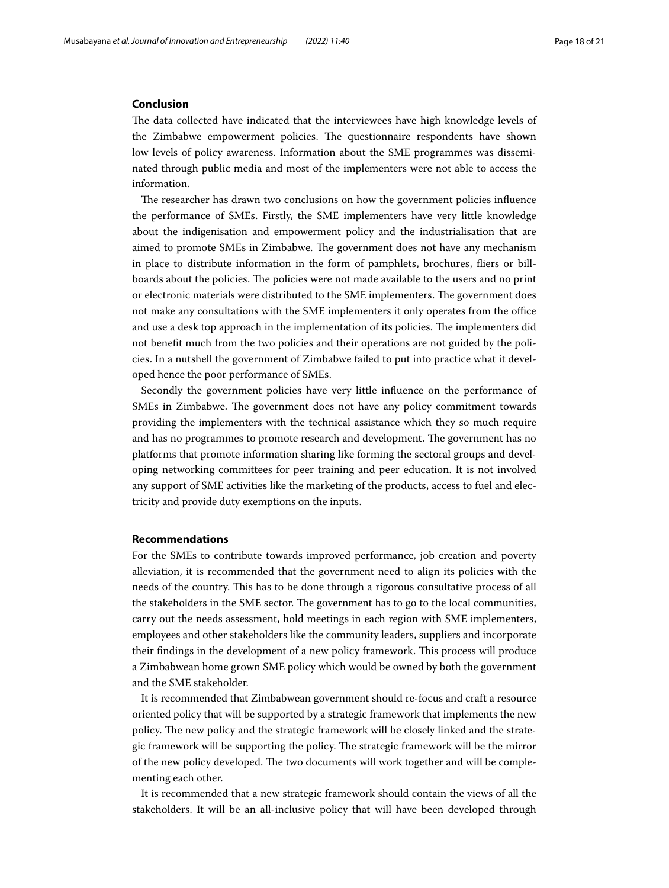# **Conclusion**

The data collected have indicated that the interviewees have high knowledge levels of the Zimbabwe empowerment policies. The questionnaire respondents have shown low levels of policy awareness. Information about the SME programmes was disseminated through public media and most of the implementers were not able to access the information.

The researcher has drawn two conclusions on how the government policies influence the performance of SMEs. Firstly, the SME implementers have very little knowledge about the indigenisation and empowerment policy and the industrialisation that are aimed to promote SMEs in Zimbabwe. The government does not have any mechanism in place to distribute information in the form of pamphlets, brochures, fiers or billboards about the policies. The policies were not made available to the users and no print or electronic materials were distributed to the SME implementers. The government does not make any consultations with the SME implementers it only operates from the office and use a desk top approach in the implementation of its policies. The implementers did not beneft much from the two policies and their operations are not guided by the policies. In a nutshell the government of Zimbabwe failed to put into practice what it developed hence the poor performance of SMEs.

Secondly the government policies have very little infuence on the performance of SMEs in Zimbabwe. The government does not have any policy commitment towards providing the implementers with the technical assistance which they so much require and has no programmes to promote research and development. The government has no platforms that promote information sharing like forming the sectoral groups and developing networking committees for peer training and peer education. It is not involved any support of SME activities like the marketing of the products, access to fuel and electricity and provide duty exemptions on the inputs.

### **Recommendations**

For the SMEs to contribute towards improved performance, job creation and poverty alleviation, it is recommended that the government need to align its policies with the needs of the country. Tis has to be done through a rigorous consultative process of all the stakeholders in the SME sector. The government has to go to the local communities, carry out the needs assessment, hold meetings in each region with SME implementers, employees and other stakeholders like the community leaders, suppliers and incorporate their fndings in the development of a new policy framework. Tis process will produce a Zimbabwean home grown SME policy which would be owned by both the government and the SME stakeholder.

It is recommended that Zimbabwean government should re-focus and craft a resource oriented policy that will be supported by a strategic framework that implements the new policy. The new policy and the strategic framework will be closely linked and the strategic framework will be supporting the policy. The strategic framework will be the mirror of the new policy developed. The two documents will work together and will be complementing each other.

It is recommended that a new strategic framework should contain the views of all the stakeholders. It will be an all-inclusive policy that will have been developed through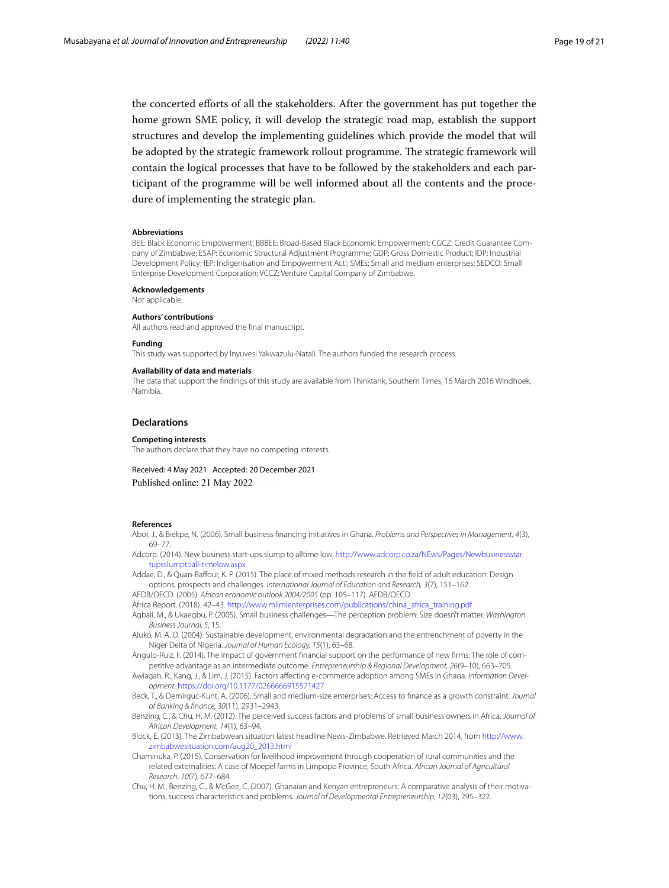the concerted eforts of all the stakeholders. After the government has put together the home grown SME policy, it will develop the strategic road map, establish the support structures and develop the implementing guidelines which provide the model that will be adopted by the strategic framework rollout programme. The strategic framework will contain the logical processes that have to be followed by the stakeholders and each participant of the programme will be well informed about all the contents and the procedure of implementing the strategic plan.

#### **Abbreviations**

BEE: Black Economic Empowerment; BBBEE: Broad-Based Black Economic Empowerment; CGCZ: Credit Guarantee Company of Zimbabwe; ESAP: Economic Structural Adjustment Programme; GDP: Gross Domestic Product; IDP: Industrial Development Policy; IEP: Indigenisation and Empowerment Act'; SMEs: Small and medium enterprises; SEDCO: Small Enterprise Development Corporation; VCCZ: Venture Capital Company of Zimbabwe.

#### **Acknowledgements**

Not applicable.

#### **Authors' contributions**

All authors read and approved the fnal manuscript.

#### **Funding**

This study was supported by Inyuvesi Yakwazulu-Natali. The authors funded the research process.

#### **Availability of data and materials**

The data that support the fndings of this study are available from Thinktank, Southern Times, 16 March 2016 Windhoek, Namibia.

#### **Declarations**

#### **Competing interests**

The authors declare that they have no competing interests.

Received: 4 May 2021 Accepted: 20 December 2021 Published online: 21 May 2022

#### **References**

- <span id="page-18-4"></span>Abor, J., & Biekpe, N. (2006). Small business fnancing initiatives in Ghana. *Problems and Perspectives in Management, 4*(3), 69–77.
- <span id="page-18-11"></span>Adcorp. (2014). New business start-ups slump to alltime low. [http://www.adcorp.co.za/NEws/Pages/Newbusinessstar](http://www.adcorp.co.za/NEws/Pages/Newbusinessstartupsslumptoall-timelow.aspx) [tupsslumptoall-timelow.aspx](http://www.adcorp.co.za/NEws/Pages/Newbusinessstartupsslumptoall-timelow.aspx)

<span id="page-18-1"></span>Addae, D., & Quan-Bafour, K. P. (2015). The place of mixed methods research in the feld of adult education: Design options, prospects and challenges. *International Journal of Education and Research, 3*(7), 151–162.

<span id="page-18-6"></span>AFDB/OECD. (2005). *African economic outlook 2004/2005* (pp. 105–117). AFDB/OECD.

- <span id="page-18-7"></span>Africa Report. (2018). 42–43. [http://www.mlimienterprises.com/publications/china\\_africa\\_training.pdf](http://www.mlimienterprises.com/publications/china_africa_training.pdf)
- <span id="page-18-9"></span>Agbali, M., & Ukaegbu, P. (2005). Small business challenges—The perception problem: Size doesn't matter. *Washington Business Journal, 5*, 15.
- <span id="page-18-12"></span>Aluko, M. A. O. (2004). Sustainable development, environmental degradation and the entrenchment of poverty in the Niger Delta of Nigeria. *Journal of Human Ecology, 15*(1), 63–68.
- <span id="page-18-13"></span>Angulo-Ruiz, F. (2014). The impact of government fnancial support on the performance of new frms: The role of competitive advantage as an intermediate outcome. *Entrepreneurship & Regional Development, 26*(9–10), 663–705.
- <span id="page-18-3"></span>Awiagah, R., Kang, J., & Lim, J. (2015). Factors afecting e-commerce adoption among SMEs in Ghana. *Information Development*.<https://doi.org/10.1177/0266666915571427>
- <span id="page-18-10"></span>Beck, T., & Demirguc-Kunt, A. (2006). Small and medium-size enterprises: Access to fnance as a growth constraint. *Journal of Banking & fnance, 30*(11), 2931–2943.
- <span id="page-18-8"></span>Benzing, C., & Chu, H. M. (2012). The perceived success factors and problems of small business owners in Africa. *Journal of African Development, 14*(1), 63–94.
- <span id="page-18-0"></span>Block, E. (2013). The Zimbabwean situation latest headline News-Zimbabwe. Retrieved March 2014, from [http://www.](http://www.zimbabwesituation.com/aug20_2013.html) [zimbabwesituation.com/aug20\\_2013.html](http://www.zimbabwesituation.com/aug20_2013.html)
- <span id="page-18-2"></span>Chaminuka, P. (2015). Conservation for livelihood improvement through cooperation of rural communities and the related externalities: A case of Moepel farms in Limpopo Province, South Africa. *African Journal of Agricultural Research, 10*(7), 677–684.
- <span id="page-18-5"></span>Chu, H. M., Benzing, C., & McGee, C. (2007). Ghanaian and Kenyan entrepreneurs: A comparative analysis of their motivations, success characteristics and problems. *Journal of Developmental Entrepreneurship, 12*(03), 295–322.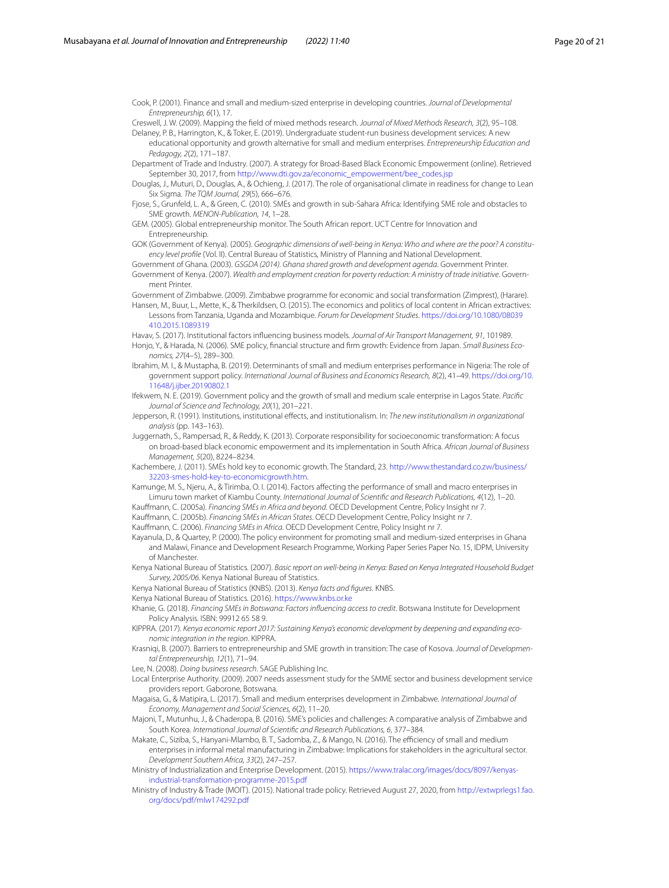<span id="page-19-7"></span>Cook, P. (2001). Finance and small and medium-sized enterprise in developing countries. *Journal of Developmental Entrepreneurship, 6*(1), 17.

<span id="page-19-1"></span>Creswell, J. W. (2009). Mapping the feld of mixed methods research. *Journal of Mixed Methods Research, 3*(2), 95–108.

<span id="page-19-20"></span>Delaney, P. B., Harrington, K., & Toker, E. (2019). Undergraduate student-run business development services: A new educational opportunity and growth alternative for small and medium enterprises. *Entrepreneurship Education and Pedagogy, 2*(2), 171–187.

<span id="page-19-22"></span>Department of Trade and Industry. (2007). A strategy for Broad-Based Black Economic Empowerment (online). Retrieved September 30, 2017, from [http://www.dti.gov.za/economic\\_empowerment/bee\\_codes.jsp](http://www.dti.gov.za/economic_empowerment/bee_codes.jsp)

<span id="page-19-14"></span>Douglas, J., Muturi, D., Douglas, A., & Ochieng, J. (2017). The role of organisational climate in readiness for change to Lean Six Sigma. *The TQM Journal, 29*(5), 666–676.

<span id="page-19-3"></span>Fjose, S., Grunfeld, L. A., & Green, C. (2010). SMEs and growth in sub-Sahara Africa: Identifying SME role and obstacles to SME growth. *MENON-Publication, 14*, 1–28.

<span id="page-19-26"></span>GEM. (2005). Global entrepreneurship monitor. The South African report. UCT Centre for Innovation and Entrepreneurship.

<span id="page-19-15"></span>GOK (Government of Kenya). (2005). *Geographic dimensions of well-being in Kenya: Who and where are the poor? A constituency level profle* (Vol. II). Central Bureau of Statistics, Ministry of Planning and National Development.

<span id="page-19-6"></span>Government of Ghana. (2003). *GSGDA (2014). Ghana shared growth and development agenda*. Government Printer.

<span id="page-19-11"></span>Government of Kenya. (2007). *Wealth and employment creation for poverty reduction: A ministry of trade initiative*. Government Printer.

<span id="page-19-30"></span><span id="page-19-8"></span>Government of Zimbabwe. (2009). Zimbabwe programme for economic and social transformation (Zimprest), (Harare). Hansen, M., Buur, L., Mette, K., & Therkildsen, O. (2015). The economics and politics of local content in African extractives: Lessons from Tanzania, Uganda and Mozambique. *Forum for Development Studies*. [https://doi.org/10.1080/08039](https://doi.org/10.1080/08039410.2015.1089319) [410.2015.1089319](https://doi.org/10.1080/08039410.2015.1089319)

<span id="page-19-32"></span>Havav, S. (2017). Institutional factors infuencing business models. *Journal of Air Transport Management, 91*, 101989.

<span id="page-19-34"></span>Honjo, Y., & Harada, N. (2006). SME policy, fnancial structure and frm growth: Evidence from Japan. *Small Business Economics, 27*(4–5), 289–300.

<span id="page-19-9"></span>Ibrahim, M. I., & Mustapha, B. (2019). Determinants of small and medium enterprises performance in Nigeria: The role of government support policy. *International Journal of Business and Economics Research, 8*(2), 41–49. [https://doi.org/10.](https://doi.org/10.11648/j.ijber.20190802.1) [11648/j.ijber.20190802.1](https://doi.org/10.11648/j.ijber.20190802.1)

<span id="page-19-0"></span>Ifekwem, N. E. (2019). Government policy and the growth of small and medium scale enterprise in Lagos State. *Pacifc Journal of Science and Technology, 20*(1), 201–221.

<span id="page-19-33"></span>Jepperson, R. (1991). Institutions, institutional efects, and institutionalism. In: *The new institutionalism in organizational analysis* (pp. 143–163).

<span id="page-19-23"></span>Juggernath, S., Rampersad, R., & Reddy, K. (2013). Corporate responsibility for socioeconomic transformation: A focus on broad-based black economic empowerment and its implementation in South Africa. *African Journal of Business Management, 5*(20), 8224–8234.

<span id="page-19-31"></span>Kachembere, J. (2011). SMEs hold key to economic growth. The Standard, 23. [http://www.thestandard.co.zw/business/](http://www.thestandard.co.zw/business/32203-smes-hold-key-to-economicgrowth.htm) [32203-smes-hold-key-to-economicgrowth.htm.](http://www.thestandard.co.zw/business/32203-smes-hold-key-to-economicgrowth.htm)

<span id="page-19-4"></span>Kamunge, M. S., Njeru, A., & Tirimba, O. I. (2014). Factors afecting the performance of small and macro enterprises in Limuru town market of Kiambu County. *International Journal of Scientifc and Research Publications, 4*(12), 1–20.

Kaufmann, C. (2005a). *Financing SMEs in Africa and beyond*. OECD Development Centre, Policy Insight nr 7.

Kaufmann, C. (2005b). *Financing SMEs in African States*. OECD Development Centre, Policy Insight nr 7.

<span id="page-19-5"></span>Kaufmann, C. (2006). *Financing SMEs in Africa*. OECD Development Centre, Policy Insight nr 7.

<span id="page-19-10"></span>Kayanula, D., & Quartey, P. (2000). The policy environment for promoting small and medium-sized enterprises in Ghana and Malawi, Finance and Development Research Programme, Working Paper Series Paper No. 15, IDPM, University of Manchester.

<span id="page-19-28"></span>Kenya National Bureau of Statistics. (2007). *Basic report on well-being in Kenya: Based on Kenya Integrated Household Budget Survey, 2005/06*. Kenya National Bureau of Statistics.

<span id="page-19-13"></span>Kenya National Bureau of Statistics (KNBS). (2013). *Kenya facts and fgures*. KNBS.

<span id="page-19-16"></span>Kenya National Bureau of Statistics. (2016). <https://www.knbs.or.ke>

<span id="page-19-18"></span>Khanie, G. (2018). *Financing SMEs in Botswana: Factors infuencing access to credit*. Botswana Institute for Development Policy Analysis. ISBN: 99912 65 58 9.

<span id="page-19-12"></span>KIPPRA. (2017). *Kenya economic report 2017: Sustaining Kenya's economic development by deepening and expanding economic integration in the region*. KIPPRA.

<span id="page-19-27"></span>Krasniqi, B. (2007). Barriers to entrepreneurship and SME growth in transition: The case of Kosova. *Journal of Developmental Entrepreneurship, 12*(1), 71–94.

<span id="page-19-2"></span>Lee, N. (2008). *Doing business research*. SAGE Publishing Inc.

<span id="page-19-19"></span>Local Enterprise Authority. (2009). 2007 needs assessment study for the SMME sector and business development service providers report. Gaborone, Botswana.

<span id="page-19-25"></span>Magaisa, G., & Matipira, L. (2017). Small and medium enterprises development in Zimbabwe. *International Journal of Economy, Management and Social Sciences, 6*(2), 11–20.

<span id="page-19-29"></span>Majoni, T., Mutunhu, J., & Chaderopa, B. (2016). SME's policies and challenges: A comparative analysis of Zimbabwe and South Korea. *International Journal of Scientifc and Research Publications, 6*, 377–384.

<span id="page-19-24"></span>Makate, C., Siziba, S., Hanyani-Mlambo, B. T., Sadomba, Z., & Mango, N. (2016). The efficiency of small and medium enterprises in informal metal manufacturing in Zimbabwe: Implications for stakeholders in the agricultural sector. *Development Southern Africa, 33*(2), 247–257.

<span id="page-19-17"></span>Ministry of Industrialization and Enterprise Development. (2015). [https://www.tralac.org/images/docs/8097/kenyas](https://www.tralac.org/images/docs/8097/kenyas-industrial-transformation-programme-2015.pdf)[industrial-transformation-programme-2015.pdf](https://www.tralac.org/images/docs/8097/kenyas-industrial-transformation-programme-2015.pdf)

<span id="page-19-21"></span>Ministry of Industry & Trade (MOIT). (2015). National trade policy. Retrieved August 27, 2020, from [http://extwprlegs1.fao.](http://extwprlegs1.fao.org/docs/pdf/mlw174292.pdf) [org/docs/pdf/mlw174292.pdf](http://extwprlegs1.fao.org/docs/pdf/mlw174292.pdf)